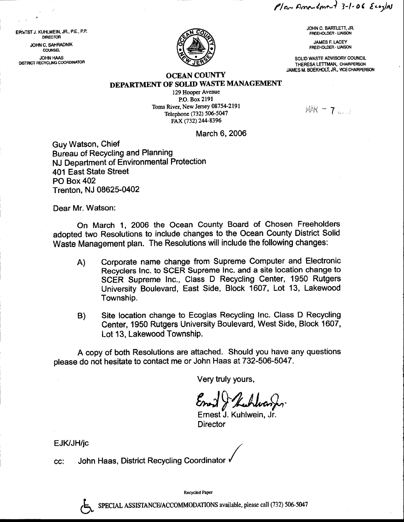$P/$ or Americant 3-1-06 Ecozlas

JOHN C, BATTLETT, JR. FREEHOLDER. LIAISON

JAMES F. LACEY FREEHOLDER. UAISON

SOLID WASTE ADVISORY COUNCIL THERESA LETTMAN, CHAIRPERSON JAMES M, BOEKIIOLT, JR., VICE CHNRPERSON

EPANIST J. KUHLWEIN, JR., P.E., P.P. DIRECTOR JOHN C, SAHRADNIK COUNSEL **JOHN HAAS** DISTRICT RECYCLING COORDINATOR

## OCEAN COUNTY DEPARTMENT OF SOLID WASTE MANAGEMENT

129 Hooper Avenue P.O. Box 2191 Toms River, New Jersey 08754-2191 Telephone (732) 506-5047 FAX (732) 244-8396

 $MAR - 72.5$ 

March 6,2006

Guy Watson, Chief Bureau of Recycling and Planning NJ Department of Environmental Protection 401 East State Street PO Box 402 Trenton, NJ 08625-0402

Dear Mr. Watson:

On March 1, 2006 the Ocean County Board of Chosen Freeholders adopted two Resolutions to include changes to the Ocean County District Solid Waste Management plan. The Resolutions will include the following changes:

- A) Corporate name change from Supreme Computer and Electronic Recyclers Inc. to SCER Supreme lnc. and a site location change to SCER Supreme Inc., Class D Recycling Center, 1950 Rutgers University Boulevard, East Side, Block 1607, Lot 13, Lakewood Township.
- B) Site location change to Ecoglas Recycling Inc. Class D Recycling Center, 1950 Rutgers University Boulevard, West Side, Block 1607, Lot 13, Lakewood Township.

A copy of both Resolutions are attached. Should you have any questions please do not hesitate to contact me or John Haas at 732-506-5047.

Very truly yours,

Enand & Kuhlwander

Ernest J. Kuhlwein, Jr. **Director** 

EJK/JH/jc

?

John Haas, District Recycling Coordinator CC:

Recycled Paper

SPECIAL ASSISTANCE/ACCOMMODATIONS available, please call (732) 506-5047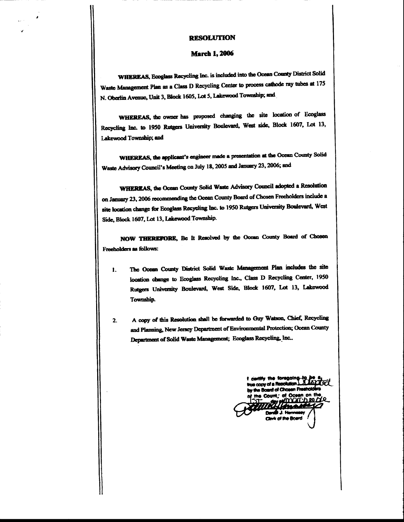## **RESOLUTION**

## **March 1, 2006**

WHEREAS, Ecoglass Recycling Inc. is included into the Ocean County District Solid Waste Management Plan as a Class D Recycling Center to process cathode ray tubes at 175 N. Oberlin Avenue, Unit 3, Block 1605, Lot 5, Lakewood Township; and

WHEREAS, the owner has proposed changing the site location of Ecoglass Recycling Inc. to 1950 Rutgers University Boulevard, West side, Block 1607, Lot 13, Lakewood Township; and

WHEREAS, the applicant's engineer made a presentation at the Ocean County Solid Waste Advisory Council's Meeting on July 18, 2005 and January 23, 2006; and

WHEREAS, the Ocean County Solid Waste Advisory Council adopted a Resolution on January 23, 2006 recommending the Ocean County Board of Chosen Freeholders include a site location change for Ecoglass Recycling Inc. to 1950 Rutgers University Boulevard, West Side, Block 1607, Lot 13, Lakewood Township.

NOW THEREFORE, Bc It Resolved by the Ocean County Board of Chosen Freeholders as follows:

- The Ocean County District Solid Waste Management Plan includes the site 1. location change to Ecoglass Recycling Inc., Class D Recycling Center, 1950 Rutgers University Boulevard, West Side, Block 1607, Lot 13, Lakewood Township.
- A copy of this Resolution shall be forwarded to Guy Watson, Chief, Recycling  $2.$ and Planning, New Jersey Department of Environmental Protection; Ocean County Department of Solid Waste Management; Ecoglass Recycling, Inc.,

I cently the foregoingtrue copy of a Resolution. by the Board of Chos n Fu an on the nt the Count እገ<u>ባ</u>ካ 20 / dr of the Board